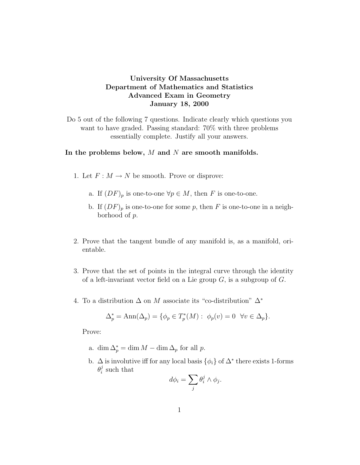## University Of Massachusetts Department of Mathematics and Statistics Advanced Exam in Geometry January 18, 2000

Do 5 out of the following 7 questions. Indicate clearly which questions you want to have graded. Passing standard: 70% with three problems essentially complete. Justify all your answers.

## In the problems below,  $M$  and  $N$  are smooth manifolds.

- 1. Let  $F: M \to N$  be smooth. Prove or disprove:
	- a. If  $(DF)_p$  is one-to-one  $\forall p \in M$ , then F is one-to-one.
	- b. If  $(DF)_p$  is one-to-one for some p, then F is one-to-one in a neighborhood of p.
- 2. Prove that the tangent bundle of any manifold is, as a manifold, orientable.
- 3. Prove that the set of points in the integral curve through the identity of a left-invariant vector field on a Lie group  $G$ , is a subgroup of  $G$ .
- 4. To a distribution  $\Delta$  on M associate its "co-distribution"  $\Delta^*$

$$
\Delta_p^* = \text{Ann}(\Delta_p) = \{ \phi_p \in T_p^*(M) : \phi_p(v) = 0 \quad \forall v \in \Delta_p \}.
$$

Prove:

- a. dim  $\Delta_p^* = \dim M \dim \Delta_p$  for all p.
- b.  $\Delta$  is involutive iff for any local basis  $\{\phi_i\}$  of  $\Delta^*$  there exists 1-forms  $\theta_i^j$  $i$  such that

$$
d\phi_i = \sum_j \theta_i^j \wedge \phi_j.
$$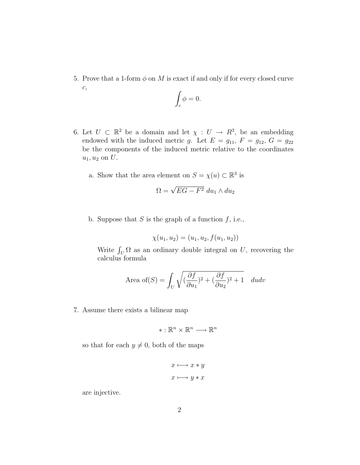5. Prove that a 1-form  $\phi$  on M is exact if and only if for every closed curve c,

$$
\int_c \phi = 0.
$$

- 6. Let  $U \subset \mathbb{R}^2$  be a domain and let  $\chi : U \to R^3$ , be an embedding endowed with the induced metric g. Let  $E = g_{11}$ ,  $F = g_{12}$ ,  $G = g_{22}$ be the components of the induced metric relative to the coordinates  $u_1, u_2$  on  $U$ .
	- a. Show that the area element on  $S = \chi(u) \subset \mathbb{R}^3$  is

$$
\Omega = \sqrt{EG - F^2} \ du_1 \wedge du_2
$$

b. Suppose that  $S$  is the graph of a function  $f$ , i.e.,

$$
\chi(u_1, u_2) = (u_1, u_2, f(u_1, u_2))
$$

Write  $\int_U \Omega$  as an ordinary double integral on U, recovering the calculus formula

Area of(S) = 
$$
\int_{U} \sqrt{(\frac{\partial f}{\partial u_1})^2 + (\frac{\partial f}{\partial u_2})^2 + 1} dudv
$$

7. Assume there exists a bilinear map

$$
*:\mathbb{R}^n\times\mathbb{R}^n\longrightarrow\mathbb{R}^n
$$

so that for each  $y \neq 0$ , both of the maps

$$
x \longmapsto x * y
$$

$$
x \longmapsto y * x
$$

are injective.